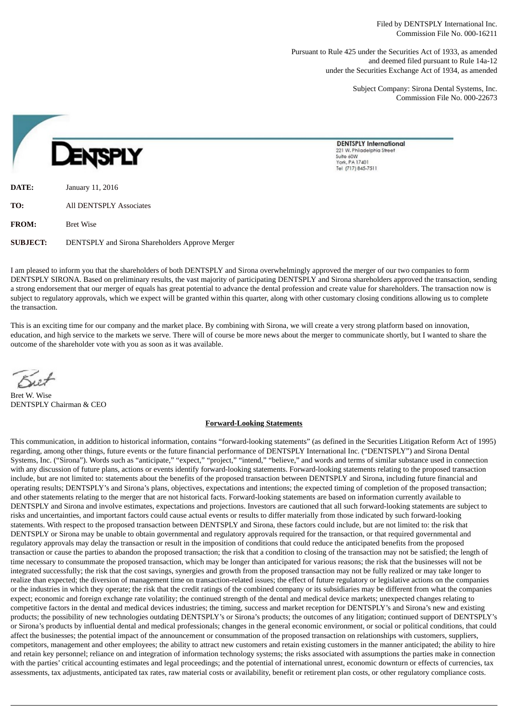Pursuant to Rule 425 under the Securities Act of 1933, as amended and deemed filed pursuant to Rule 14a-12 under the Securities Exchange Act of 1934, as amended

> Subject Company: Sirona Dental Systems, Inc. Commission File No. 000-22673

**DENTSPLY International** 221 W. Philadelphia Street Suite 60W York, PA 17401 Tel (717) 845-7511

**DATE:** January 11, 2016 **TO:** All DENTSPLY Associates **FROM:** Bret Wise **SUBJECT:** DENTSPLY and Sirona Shareholders Approve Merger

I am pleased to inform you that the shareholders of both DENTSPLY and Sirona overwhelmingly approved the merger of our two companies to form DENTSPLY SIRONA. Based on preliminary results, the vast majority of participating DENTSPLY and Sirona shareholders approved the transaction, sending a strong endorsement that our merger of equals has great potential to advance the dental profession and create value for shareholders. The transaction now is subject to regulatory approvals, which we expect will be granted within this quarter, along with other customary closing conditions allowing us to complete the transaction.

This is an exciting time for our company and the market place. By combining with Sirona, we will create a very strong platform based on innovation, education, and high service to the markets we serve. There will of course be more news about the merger to communicate shortly, but I wanted to share the outcome of the shareholder vote with you as soon as it was available.

Bret W. Wise DENTSPLY Chairman & CEO

## **Forward-Looking Statements**

This communication, in addition to historical information, contains "forward-looking statements" (as defined in the Securities Litigation Reform Act of 1995) regarding, among other things, future events or the future financial performance of DENTSPLY International Inc. ("DENTSPLY") and Sirona Dental Systems, Inc. ("Sirona"). Words such as "anticipate," "expect," "project," "intend," "believe," and words and terms of similar substance used in connection with any discussion of future plans, actions or events identify forward-looking statements. Forward-looking statements relating to the proposed transaction include, but are not limited to: statements about the benefits of the proposed transaction between DENTSPLY and Sirona, including future financial and operating results; DENTSPLY's and Sirona's plans, objectives, expectations and intentions; the expected timing of completion of the proposed transaction; and other statements relating to the merger that are not historical facts. Forward-looking statements are based on information currently available to DENTSPLY and Sirona and involve estimates, expectations and projections. Investors are cautioned that all such forward-looking statements are subject to risks and uncertainties, and important factors could cause actual events or results to differ materially from those indicated by such forward-looking statements. With respect to the proposed transaction between DENTSPLY and Sirona, these factors could include, but are not limited to: the risk that DENTSPLY or Sirona may be unable to obtain governmental and regulatory approvals required for the transaction, or that required governmental and regulatory approvals may delay the transaction or result in the imposition of conditions that could reduce the anticipated benefits from the proposed transaction or cause the parties to abandon the proposed transaction; the risk that a condition to closing of the transaction may not be satisfied; the length of time necessary to consummate the proposed transaction, which may be longer than anticipated for various reasons; the risk that the businesses will not be integrated successfully; the risk that the cost savings, synergies and growth from the proposed transaction may not be fully realized or may take longer to realize than expected; the diversion of management time on transaction-related issues; the effect of future regulatory or legislative actions on the companies or the industries in which they operate; the risk that the credit ratings of the combined company or its subsidiaries may be different from what the companies expect; economic and foreign exchange rate volatility; the continued strength of the dental and medical device markets; unexpected changes relating to competitive factors in the dental and medical devices industries; the timing, success and market reception for DENTSPLY's and Sirona's new and existing products; the possibility of new technologies outdating DENTSPLY's or Sirona's products; the outcomes of any litigation; continued support of DENTSPLY's or Sirona's products by influential dental and medical professionals; changes in the general economic environment, or social or political conditions, that could affect the businesses; the potential impact of the announcement or consummation of the proposed transaction on relationships with customers, suppliers, competitors, management and other employees; the ability to attract new customers and retain existing customers in the manner anticipated; the ability to hire and retain key personnel; reliance on and integration of information technology systems; the risks associated with assumptions the parties make in connection with the parties' critical accounting estimates and legal proceedings; and the potential of international unrest, economic downturn or effects of currencies, tax assessments, tax adjustments, anticipated tax rates, raw material costs or availability, benefit or retirement plan costs, or other regulatory compliance costs.